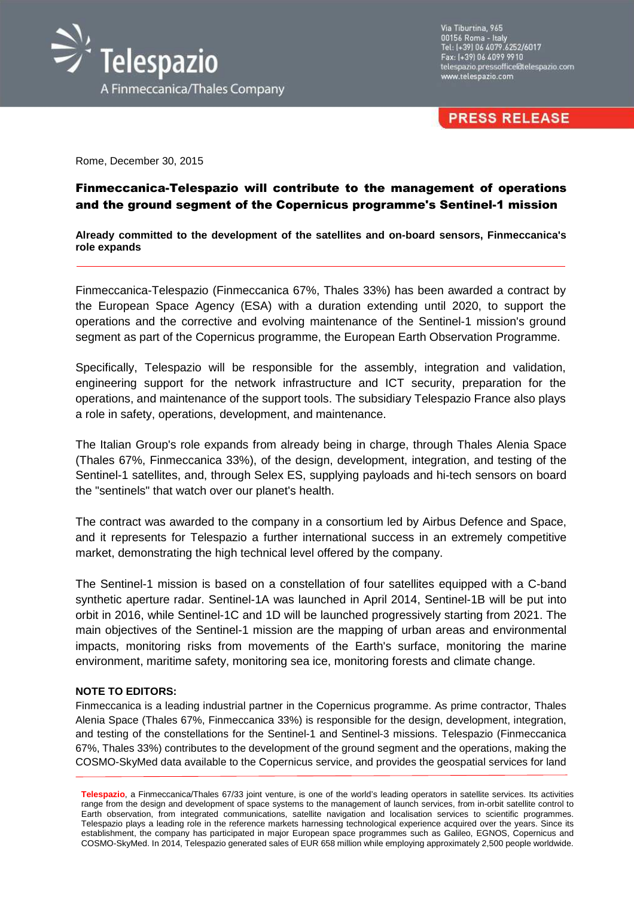

Via Tiburtina, 965 00156 Roma - Italy<br>Tel: (+39) 06 4079.6252/6017 Fax: (+39) 06 4099 9910 telespazio.pressoffice@telespazio.com www.telespazio.com

**PRESS RELEASE** 

Rome, December 30, 2015

## Finmeccanica-Telespazio will contribute to the management of operations and the ground segment of the Copernicus programme's Sentinel-1 mission

**Already committed to the development of the satellites and on-board sensors, Finmeccanica's role expands**

Finmeccanica-Telespazio (Finmeccanica 67%, Thales 33%) has been awarded a contract by the European Space Agency (ESA) with a duration extending until 2020, to support the operations and the corrective and evolving maintenance of the Sentinel-1 mission's ground segment as part of the Copernicus programme, the European Earth Observation Programme.

Specifically, Telespazio will be responsible for the assembly, integration and validation, engineering support for the network infrastructure and ICT security, preparation for the operations, and maintenance of the support tools. The subsidiary Telespazio France also plays a role in safety, operations, development, and maintenance.

The Italian Group's role expands from already being in charge, through Thales Alenia Space (Thales 67%, Finmeccanica 33%), of the design, development, integration, and testing of the Sentinel-1 satellites, and, through Selex ES, supplying payloads and hi-tech sensors on board the "sentinels" that watch over our planet's health.

The contract was awarded to the company in a consortium led by Airbus Defence and Space, and it represents for Telespazio a further international success in an extremely competitive market, demonstrating the high technical level offered by the company.

The Sentinel-1 mission is based on a constellation of four satellites equipped with a C-band synthetic aperture radar. Sentinel-1A was launched in April 2014, Sentinel-1B will be put into orbit in 2016, while Sentinel-1C and 1D will be launched progressively starting from 2021. The main objectives of the Sentinel-1 mission are the mapping of urban areas and environmental impacts, monitoring risks from movements of the Earth's surface, monitoring the marine environment, maritime safety, monitoring sea ice, monitoring forests and climate change.

## **NOTE TO EDITORS:**

Finmeccanica is a leading industrial partner in the Copernicus programme. As prime contractor, Thales Alenia Space (Thales 67%, Finmeccanica 33%) is responsible for the design, development, integration, and testing of the constellations for the Sentinel-1 and Sentinel-3 missions. Telespazio (Finmeccanica 67%, Thales 33%) contributes to the development of the ground segment and the operations, making the COSMO-SkyMed data available to the Copernicus service, and provides the geospatial services for land

**Telespazio**, a Finmeccanica/Thales 67/33 joint venture, is one of the world's leading operators in satellite services. Its activities range from the design and development of space systems to the management of launch services, from in-orbit satellite control to Earth observation, from integrated communications, satellite navigation and localisation services to scientific programmes. Telespazio plays a leading role in the reference markets harnessing technological experience acquired over the years. Since its establishment, the company has participated in major European space programmes such as Galileo, EGNOS, Copernicus and COSMO-SkyMed. In 2014, Telespazio generated sales of EUR 658 million while employing approximately 2,500 people worldwide.